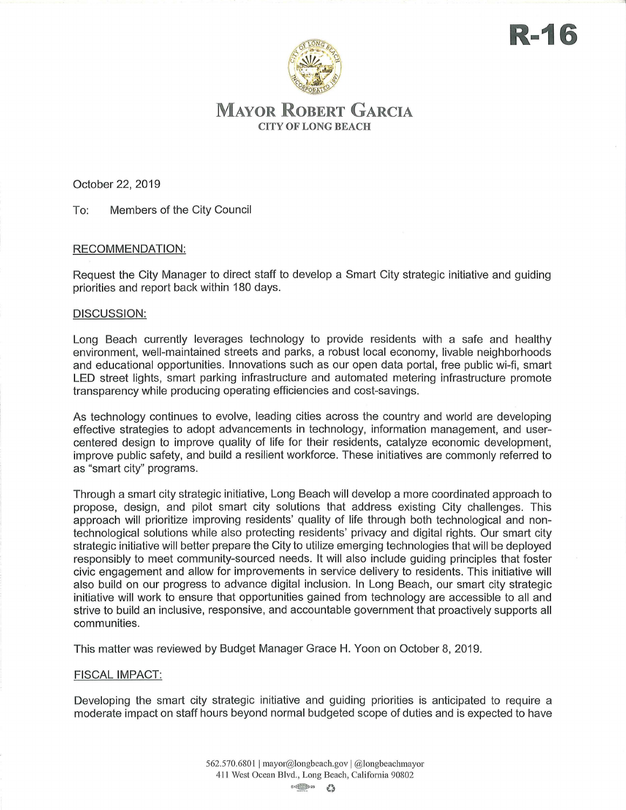

# **MAYOR ROBERT GARCIA**  CITY OF LONG BEACH

October 22, 2019

To: Members of the City Council

## RECOMMENDATION:

Request the City Manager to direct staff to develop a Smart City strategic initiative and guiding priorities and report back within 180 days.

### DISCUSSION:

Long Beach currently leverages technology to provide residents with a safe and healthy environment, well-maintained streets and parks, a robust local economy, livable neighborhoods and educational opportunities. Innovations such as our open data portal, free public wi-fi, smart LED street lights, smart parking infrastructure and automated metering infrastructure promote transparency while producing operating efficiencies and cost-savings.

As technology continues to evolve, leading cities across the country and world are developing effective strategies to adopt advancements in technology, information management, and usercentered design to improve quality of life for their residents, catalyze economic development, improve public safety, and build a resilient workforce. These initiatives are commonly referred to as "smart city" programs.

Through a smart city strategic initiative, Long Beach will develop a more coordinated approach to propose, design, and pilot smart city solutions that address existing City challenges. This approach will prioritize improving residents' quality of life through both technological and nontechnological solutions while also protecting residents' privacy and digital rights. Our smart city strategic initiative will better prepare the City to utilize emerging technologies that will be deployed responsibly to meet community-sourced needs. It will also include guiding principles that foster civic engagement and allow for improvements in service delivery to residents. This initiative will also build on our progress to advance digital inclusion. In Long Beach, our smart city strategic initiative will work to ensure that opportunities gained from technology are accessible to all and strive to build an inclusive, responsive, and accountable government that proactively supports all communities.

This matter was reviewed by Budget Manager Grace H. Yoon on October 8, 2019.

### FISCAL IMPACT:

Developing the smart city strategic initiative and guiding priorities is anticipated to require a moderate impact on staff hours beyond normal budgeted scope of duties and is expected to have